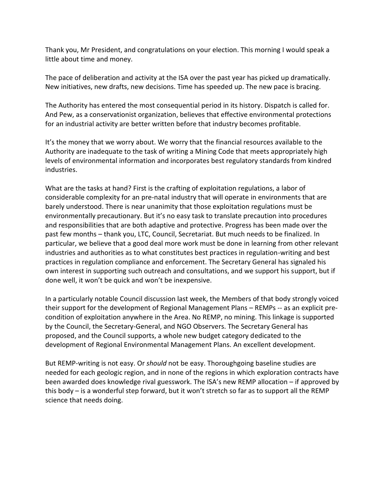Thank you, Mr President, and congratulations on your election. This morning I would speak a little about time and money.

The pace of deliberation and activity at the ISA over the past year has picked up dramatically. New initiatives, new drafts, new decisions. Time has speeded up. The new pace is bracing.

The Authority has entered the most consequential period in its history. Dispatch is called for. And Pew, as a conservationist organization, believes that effective environmental protections for an industrial activity are better written before that industry becomes profitable.

It's the money that we worry about. We worry that the financial resources available to the Authority are inadequate to the task of writing a Mining Code that meets appropriately high levels of environmental information and incorporates best regulatory standards from kindred industries.

What are the tasks at hand? First is the crafting of exploitation regulations, a labor of considerable complexity for an pre-natal industry that will operate in environments that are barely understood. There is near unanimity that those exploitation regulations must be environmentally precautionary. But it's no easy task to translate precaution into procedures and responsibilities that are both adaptive and protective. Progress has been made over the past few months – thank you, LTC, Council, Secretariat. But much needs to be finalized. In particular, we believe that a good deal more work must be done in learning from other relevant industries and authorities as to what constitutes best practices in regulation-writing and best practices in regulation compliance and enforcement. The Secretary General has signaled his own interest in supporting such outreach and consultations, and we support his support, but if done well, it won't be quick and won't be inexpensive.

In a particularly notable Council discussion last week, the Members of that body strongly voiced their support for the development of Regional Management Plans – REMPs -- as an explicit precondition of exploitation anywhere in the Area. No REMP, no mining. This linkage is supported by the Council, the Secretary-General, and NGO Observers. The Secretary General has proposed, and the Council supports, a whole new budget category dedicated to the development of Regional Environmental Management Plans. An excellent development.

But REMP-writing is not easy. Or *should* not be easy. Thoroughgoing baseline studies are needed for each geologic region, and in none of the regions in which exploration contracts have been awarded does knowledge rival guesswork. The ISA's new REMP allocation – if approved by this body – is a wonderful step forward, but it won't stretch so far as to support all the REMP science that needs doing.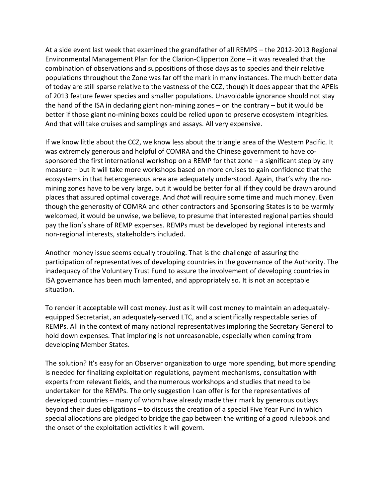At a side event last week that examined the grandfather of all REMPS – the 2012-2013 Regional Environmental Management Plan for the Clarion-Clipperton Zone – it was revealed that the combination of observations and suppositions of those days as to species and their relative populations throughout the Zone was far off the mark in many instances. The much better data of today are still sparse relative to the vastness of the CCZ, though it does appear that the APEIs of 2013 feature fewer species and smaller populations. Unavoidable ignorance should not stay the hand of the ISA in declaring giant non-mining zones – on the contrary – but it would be better if those giant no-mining boxes could be relied upon to preserve ecosystem integrities. And that will take cruises and samplings and assays. All very expensive.

If we know little about the CCZ, we know less about the triangle area of the Western Pacific. It was extremely generous and helpful of COMRA and the Chinese government to have cosponsored the first international workshop on a REMP for that zone – a significant step by any measure – but it will take more workshops based on more cruises to gain confidence that the ecosystems in that heterogeneous area are adequately understood. Again, that's why the nomining zones have to be very large, but it would be better for all if they could be drawn around places that assured optimal coverage. And *that* will require some time and much money. Even though the generosity of COMRA and other contractors and Sponsoring States is to be warmly welcomed, it would be unwise, we believe, to presume that interested regional parties should pay the lion's share of REMP expenses. REMPs must be developed by regional interests and non-regional interests, stakeholders included.

Another money issue seems equally troubling. That is the challenge of assuring the participation of representatives of developing countries in the governance of the Authority. The inadequacy of the Voluntary Trust Fund to assure the involvement of developing countries in ISA governance has been much lamented, and appropriately so. It is not an acceptable situation.

To render it acceptable will cost money. Just as it will cost money to maintain an adequatelyequipped Secretariat, an adequately-served LTC, and a scientifically respectable series of REMPs. All in the context of many national representatives imploring the Secretary General to hold down expenses. That imploring is not unreasonable, especially when coming from developing Member States.

The solution? It's easy for an Observer organization to urge more spending, but more spending is needed for finalizing exploitation regulations, payment mechanisms, consultation with experts from relevant fields, and the numerous workshops and studies that need to be undertaken for the REMPs. The only suggestion I can offer is for the representatives of developed countries – many of whom have already made their mark by generous outlays beyond their dues obligations – to discuss the creation of a special Five Year Fund in which special allocations are pledged to bridge the gap between the writing of a good rulebook and the onset of the exploitation activities it will govern.